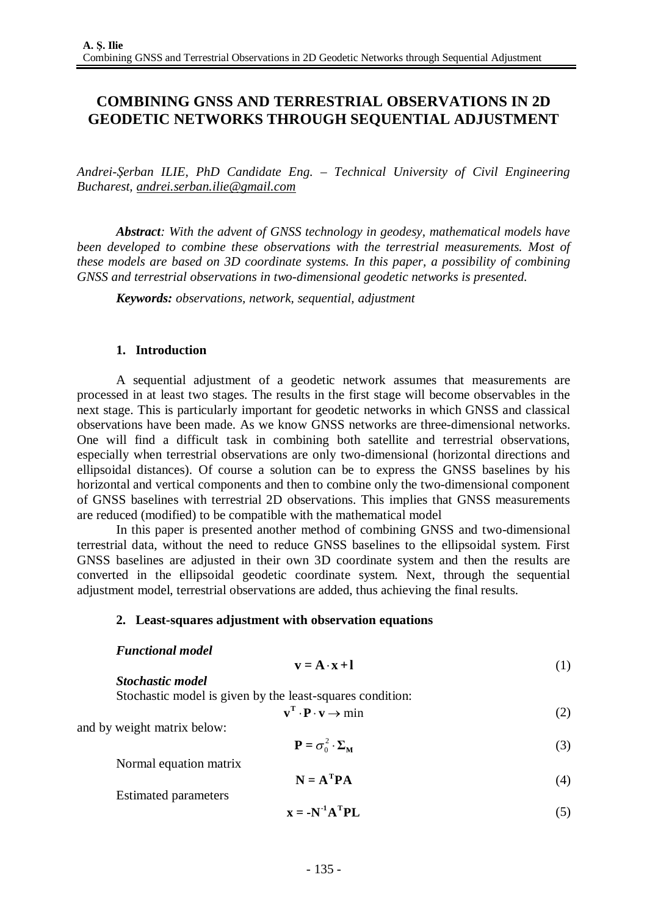# **COMBINING GNSS AND TERRESTRIAL OBSERVATIONS IN 2D GEODETIC NETWORKS THROUGH SEQUENTIAL ADJUSTMENT**

*Andrei-Şerban ILIE, PhD Candidate Eng. – Technical University of Civil Engineering Bucharest, [andrei.serban.ilie@gmail.com](mailto:andrei.serban.ilie@gmail.com)*

*Abstract: With the advent of GNSS technology in geodesy, mathematical models have been developed to combine these observations with the terrestrial measurements. Most of these models are based on 3D coordinate systems. In this paper, a possibility of combining GNSS and terrestrial observations in two-dimensional geodetic networks is presented.*

*Keywords: observations, network, sequential, adjustment*

# **1. Introduction**

A sequential adjustment of a geodetic network assumes that measurements are processed in at least two stages. The results in the first stage will become observables in the next stage. This is particularly important for geodetic networks in which GNSS and classical observations have been made. As we know GNSS networks are three-dimensional networks. One will find a difficult task in combining both satellite and terrestrial observations, especially when terrestrial observations are only two-dimensional (horizontal directions and ellipsoidal distances). Of course a solution can be to express the GNSS baselines by his horizontal and vertical components and then to combine only the two-dimensional component of GNSS baselines with terrestrial 2D observations. This implies that GNSS measurements are reduced (modified) to be compatible with the mathematical model

In this paper is presented another method of combining GNSS and two-dimensional terrestrial data, without the need to reduce GNSS baselines to the ellipsoidal system. First GNSS baselines are adjusted in their own 3D coordinate system and then the results are converted in the ellipsoidal geodetic coordinate system. Next, through the sequential adjustment model, terrestrial observations are added, thus achieving the final results.

# **2. Least-squares adjustment with observation equations**

# *Functional model*

*Stochastic model*

$$
\mathbf{v} = \mathbf{A} \cdot \mathbf{x} + \mathbf{l} \tag{1}
$$

Stochastic model is given by the least-squares condition:

$$
\mathbf{v}^{\mathrm{T}} \cdot \mathbf{P} \cdot \mathbf{v} \to \min \tag{2}
$$

and by weight matrix below:

$$
\mathbf{P} = \sigma_0^2 \cdot \Sigma_{\mathbf{M}} \tag{3}
$$

Normal equation matrix  $N = A^T P A$  (4)

Estimated parameters

$$
\mathbf{x} = -\mathbf{N}^{-1}\mathbf{A}^{\mathrm{T}}\mathbf{P}\mathbf{L} \tag{5}
$$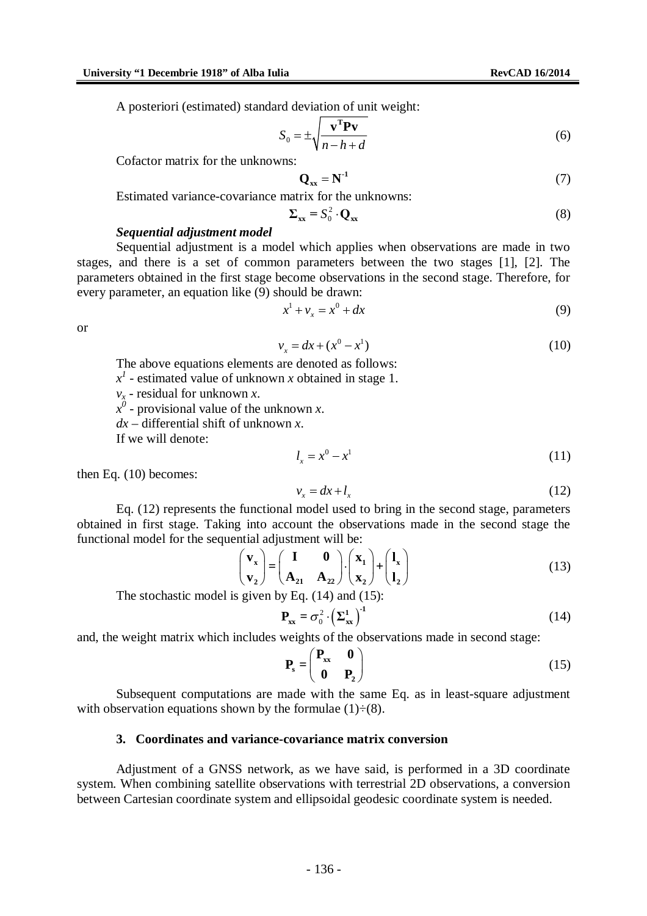A posteriori (estimated) standard deviation of unit weight:

$$
S_0 = \pm \sqrt{\frac{\mathbf{v}^{\mathrm{T}} \mathbf{P} \mathbf{v}}{n - h + d}}
$$
(6)

Cofactor matrix for the unknowns:

$$
\mathbf{Q}_{xx} = \mathbf{N}^{-1} \tag{7}
$$

Estimated variance-covariance matrix for the unknowns:

$$
\Sigma_{xx} = S_0^2 \cdot \mathbf{Q}_{xx} \tag{8}
$$

## *Sequential adjustment model*

Sequential adjustment is a model which applies when observations are made in two stages, and there is a set of common parameters between the two stages [1], [2]. The parameters obtained in the first stage become observations in the second stage. Therefore, for every parameter, an equation like (9) should be drawn:

$$
x^1 + v_x = x^0 + dx
$$
 (9)

or

$$
v_x = dx + (x^0 - x^1) \tag{10}
$$

The above equations elements are denoted as follows:

 $x<sup>1</sup>$  - estimated value of unknown *x* obtained in stage 1.

*v<sup>x</sup>* - residual for unknown *x*.

 $x^0$  - provisional value of the unknown *x*.

*dx* – differential shift of unknown *x*.

If we will denote:

$$
l_x = x^0 - x^1 \tag{11}
$$

then Eq. (10) becomes:

$$
v_x = dx + l_x \tag{12}
$$

Eq. (12) represents the functional model used to bring in the second stage, parameters obtained in first stage. Taking into account the observations made in the second stage the functional model for the sequential adjustment will be:

$$
\begin{pmatrix} \mathbf{v}_x \\ \mathbf{v}_z \end{pmatrix} = \begin{pmatrix} \mathbf{I} & \mathbf{0} \\ \mathbf{A}_{21} & \mathbf{A}_{22} \end{pmatrix} \cdot \begin{pmatrix} \mathbf{x}_1 \\ \mathbf{x}_2 \end{pmatrix} + \begin{pmatrix} \mathbf{l}_x \\ \mathbf{l}_2 \end{pmatrix}
$$
(13)

The stochastic model is given by Eq. (14) and (15):

$$
\mathbf{P}_{\mathbf{x}\mathbf{x}} = \sigma_0^2 \cdot \left(\Sigma_{\mathbf{x}\mathbf{x}}^1\right)^{-1} \tag{14}
$$

and, the weight matrix which includes weights of the observations made in second stage:

$$
\mathbf{P}_s = \begin{pmatrix} \mathbf{P}_{xx} & \mathbf{0} \\ \mathbf{0} & \mathbf{P}_2 \end{pmatrix} \tag{15}
$$

Subsequent computations are made with the same Eq. as in least-square adjustment with observation equations shown by the formulae  $(1) \div (8)$ .

## **3. Coordinates and variance-covariance matrix conversion**

Adjustment of a GNSS network, as we have said, is performed in a 3D coordinate system. When combining satellite observations with terrestrial 2D observations, a conversion between Cartesian coordinate system and ellipsoidal geodesic coordinate system is needed.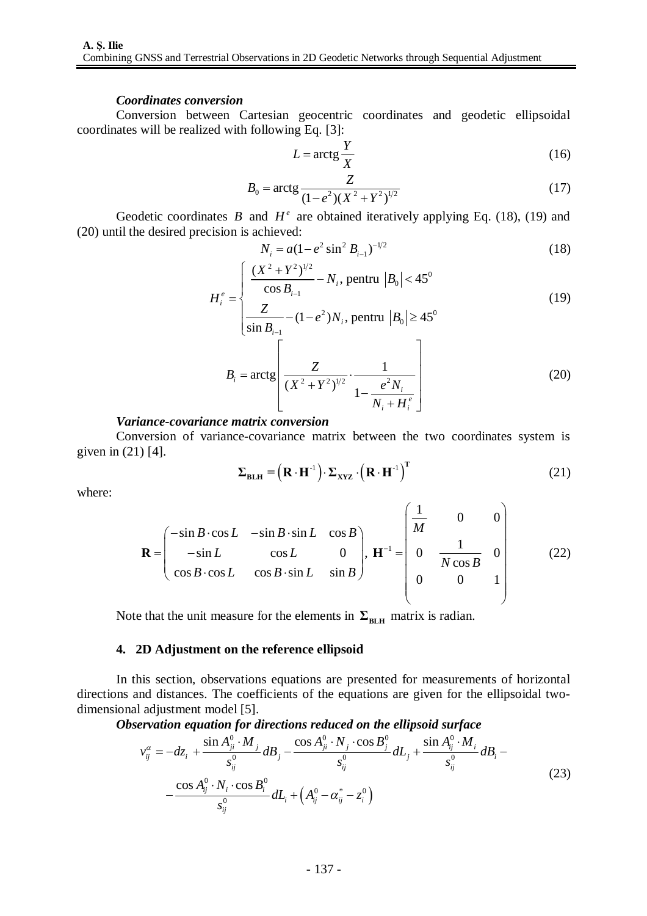## *Coordinates conversion*

Conversion between Cartesian geocentric coordinates and geodetic ellipsoidal coordinates will be realized with following Eq. [3]:

$$
L = \arctg \frac{Y}{X} \tag{16}
$$

$$
B_0 = \arctg \frac{Z}{(1 - e^2)(X^2 + Y^2)^{1/2}}
$$
 (17)

Geodetic coordinates  $B$  and  $H^e$  are obtained iteratively applying Eq. (18), (19) and (20) until the desired precision is achieved:

$$
N_i = a(1 - e^2 \sin^2 B_{i-1})^{-1/2}
$$
 (18)

$$
H_i^e = \begin{cases} \frac{(X^2 + Y^2)^{1/2}}{\cos B_{i-1}} - N_i, \text{ pentru } |B_0| < 45^\circ\\ Z & (1 - e^{2})N, \text{ pentru } |B_i| > 45^\circ \end{cases}
$$
(19)

$$
\left| \frac{Z}{\sin B_{i-1}} - (1 - e^2) N_i, \text{ pentru } |B_0| \ge 45^0 \right|
$$
  

$$
B_i = \arctg \left[ \frac{Z}{(X^2 + Y^2)^{1/2}} \cdot \frac{1}{1 - \frac{e^2 N_i}{N_i + H_i^e}} \right]
$$
(20)

## *Variance-covariance matrix conversion*

Conversion of variance-covariance matrix between the two coordinates system is given in (21) [4].

$$
\Sigma_{\text{BLH}} = (\mathbf{R} \cdot \mathbf{H}^{-1}) \cdot \Sigma_{\text{XYZ}} \cdot (\mathbf{R} \cdot \mathbf{H}^{-1})^{\text{T}}
$$
 (21)

where:

$$
\mathbf{R} = \begin{pmatrix} -\sin B \cdot \cos L & -\sin B \cdot \sin L & \cos B \\ -\sin L & \cos L & 0 \\ \cos B \cdot \cos L & \cos B \cdot \sin L & \sin B \end{pmatrix}, \ \mathbf{H}^{-1} = \begin{pmatrix} \frac{1}{M} & 0 & 0 \\ 0 & \frac{1}{N \cos B} & 0 \\ 0 & 0 & 1 \end{pmatrix}
$$
(22)

Note that the unit measure for the elements in  $\Sigma_{\text{BLH}}$  matrix is radian.

## **4. 2D Adjustment on the reference ellipsoid**

In this section, observations equations are presented for measurements of horizontal directions and distances. The coefficients of the equations are given for the ellipsoidal twodimensional adjustment model [5].

*Observation equation for directions reduced on the ellipsoid surface*

$$
v_{ij}^{\alpha} = -dz_i + \frac{\sin A_{ji}^0 \cdot M_j}{s_{ij}^0} dB_j - \frac{\cos A_{ji}^0 \cdot N_j \cdot \cos B_j^0}{s_{ij}^0} dL_j + \frac{\sin A_{ij}^0 \cdot M_i}{s_{ij}^0} dB_i - \frac{\cos A_{ij}^0 \cdot N_i \cdot \cos B_i^0}{s_{ij}^0} dL_i + \left(A_{ij}^0 - \alpha_{ij}^* - z_i^0\right)
$$
\n(23)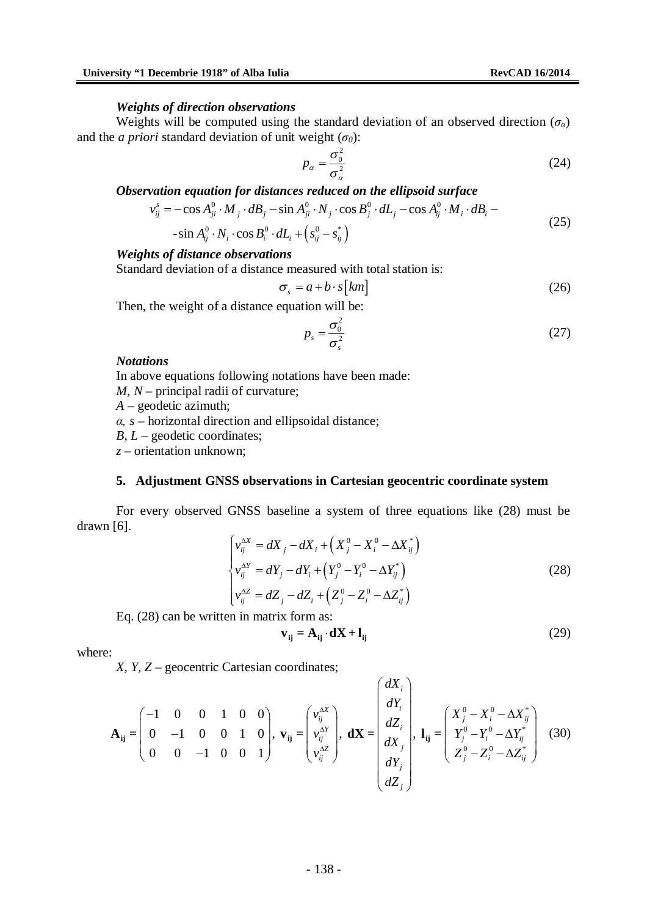#### *Weights of direction observations*

Weights will be computed using the standard deviation of an observed direction  $(\sigma_a)$ and the *a priori* standard deviation of unit weight  $(\sigma_0)$ :

$$
p_{\alpha} = \frac{\sigma_0^2}{\sigma_{\alpha}^2} \tag{24}
$$

*Observation equation for distances reduced on the ellipsoid surface*

$$
v_{ij}^s = -\cos A_{ji}^0 \cdot M_j \cdot dB_j - \sin A_{ji}^0 \cdot N_j \cdot \cos B_j^0 \cdot dL_j - \cos A_{ij}^0 \cdot M_i \cdot dB_i -
$$
\n(25)

$$
-\sin A_{ij}^0 \cdot N_i \cdot \cos B_i^0 \cdot dL_i + \left(s_{ij}^0 - s_{ij}^*\right)
$$

## *Weights of distance observations*

Standard deviation of a distance measured with total station is:

$$
\sigma_s = a + b \cdot s \left[ km \right] \tag{26}
$$

Then, the weight of a distance equation will be:

$$
p_s = \frac{\sigma_0^2}{\sigma_s^2} \tag{27}
$$

#### *Notations*

In above equations following notations have been made:

*M, N* – principal radii of curvature;

*A* – geodetic azimuth;

*α, s* – horizontal direction and ellipsoidal distance;

*B, L* – geodetic coordinates;

*z* – orientation unknown;

## **5. Adjustment GNSS observations in Cartesian geocentric coordinate system**

For every observed GNSS baseline a system of three equations like (28) must be drawn [6].

$$
\begin{cases}\nv_{ij}^{\Delta X} = dX_j - dX_i + \left(X_j^0 - X_i^0 - \Delta X_{ij}^*\right) \\
v_{ij}^{\Delta Y} = dY_j - dY_i + \left(Y_j^0 - Y_i^0 - \Delta Y_{ij}^*\right) \\
v_{ij}^{\Delta Z} = dZ_j - dZ_i + \left(Z_j^0 - Z_i^0 - \Delta Z_{ij}^*\right)\n\end{cases} \tag{28}
$$

Eq. (28) can be written in matrix form as:

$$
\mathbf{v}_{ij} = \mathbf{A}_{ij} \cdot \mathbf{d}\mathbf{X} + \mathbf{l}_{ij} \tag{29}
$$

where:

*X, Y, Z* – geocentric Cartesian coordinates;

$$
\mathbf{A}_{ij} = \begin{pmatrix} -1 & 0 & 0 & 1 & 0 & 0 \\ 0 & -1 & 0 & 0 & 1 & 0 \\ 0 & 0 & -1 & 0 & 0 & 1 \end{pmatrix}, \mathbf{v}_{ij} = \begin{pmatrix} v_{ij}^{\Delta X} \\ v_{ij}^{\Delta Y} \\ v_{ij}^{\Delta Z} \end{pmatrix}, \mathbf{d}\mathbf{X} = \begin{pmatrix} dX_i \\ dZ_i \\ dX_j \\ dY_j \\ dY_j \end{pmatrix}, \mathbf{l}_{ij} = \begin{pmatrix} X_j^0 - X_i^0 - \Delta X_j^* \\ Y_j^0 - Y_i^0 - \Delta Y_j^* \\ Z_j^0 - Z_i^0 - \Delta Z_{ij}^* \end{pmatrix}
$$
(30)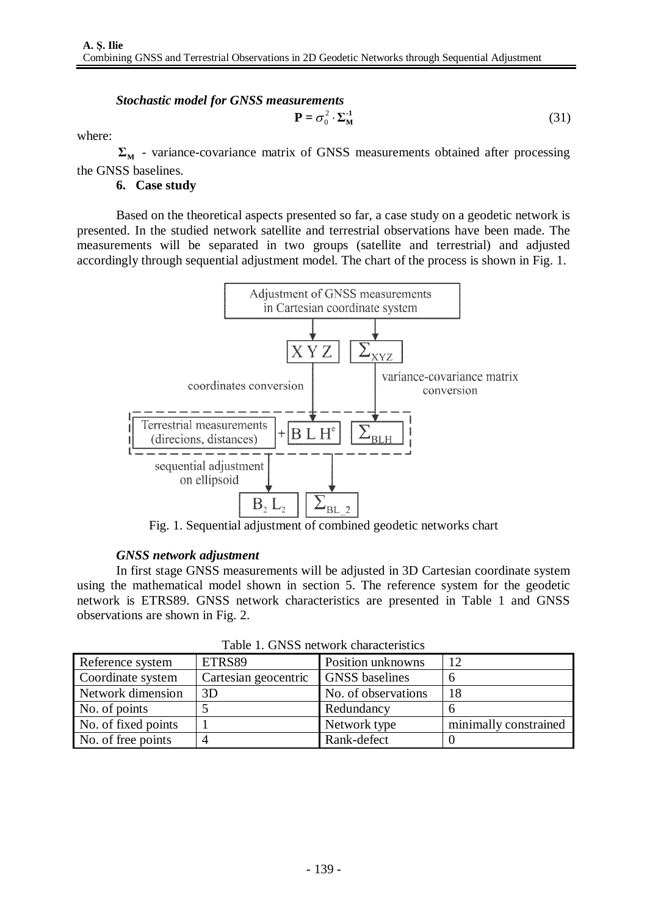# *Stochastic model for GNSS measurements*  $P = \sigma_0^2 \cdot \Sigma_M^{-1}$  (31)

where:

 $\Sigma<sub>M</sub>$  - variance-covariance matrix of GNSS measurements obtained after processing the GNSS baselines.

**6. Case study**

Based on the theoretical aspects presented so far, a case study on a geodetic network is presented. In the studied network satellite and terrestrial observations have been made. The measurements will be separated in two groups (satellite and terrestrial) and adjusted accordingly through sequential adjustment model. The chart of the process is shown in Fig. 1.



Fig. 1. Sequential adjustment of combined geodetic networks chart

# *GNSS network adjustment*

In first stage GNSS measurements will be adjusted in 3D Cartesian coordinate system using the mathematical model shown in section 5. The reference system for the geodetic network is ETRS89. GNSS network characteristics are presented in Table 1 and GNSS observations are shown in Fig. 2.

| Tuoto II OI 100 hotti oli tuutuvallisto |                             |                       |                       |  |  |  |  |
|-----------------------------------------|-----------------------------|-----------------------|-----------------------|--|--|--|--|
| Reference system                        | ETRS89<br>Position unknowns |                       | 12                    |  |  |  |  |
| Coordinate system                       | Cartesian geocentric        | <b>GNSS</b> baselines |                       |  |  |  |  |
| Network dimension                       | 3D                          | No. of observations   | 18                    |  |  |  |  |
| No. of points                           |                             | Redundancy            | n                     |  |  |  |  |
| No. of fixed points                     |                             | Network type          | minimally constrained |  |  |  |  |
| No. of free points                      |                             | Rank-defect           |                       |  |  |  |  |

Table 1. GNSS network characteristics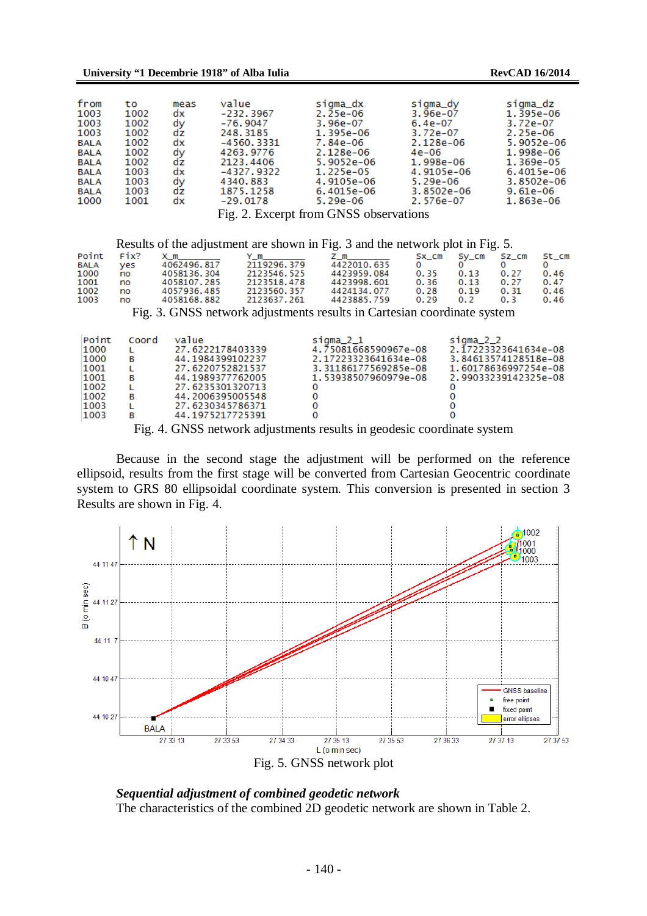| from        | tο   | meas | value                     | sigma_dx                                         | sigma_dy   | sigma_dz   |
|-------------|------|------|---------------------------|--------------------------------------------------|------------|------------|
| 1003        | 1002 | dx   | -232.3967                 | 2.25e-06                                         | $3.96e-07$ | 1.395e-06  |
| 1003        | 1002 | dy   | $-76.9047$                | 3.96e-07                                         | $6.4e-07$  | 3.72e-07   |
| 1003        | 1002 | dz   | 248.3185                  | 1.395e-06                                        | 3.72e-07   | 2.25e-06   |
| <b>BALA</b> | 1002 | dx   | $-4560.3331$              | 7.84e-06                                         | 2.128e-06  | 5.9052e-06 |
| <b>BALA</b> | 1002 | dv   | 4263.9776                 | 2.128e-06                                        | 4e-06      | 1.998e-06  |
| <b>BALA</b> | 1002 | dz   | 2123.4406                 | 5.9052e-06                                       | 1.998e-06  | 1.369e-05  |
| <b>BALA</b> | 1003 | dx   | -4327.9322                | 1.225e-05                                        | 4.9105e-06 | 6.4015e-06 |
| <b>BALA</b> | 1003 | dy   | 4340.883                  | 4.9105e-06                                       | 5.29e-06   | 3.8502e-06 |
| <b>BALA</b> | 1003 | dz   | 1875.1258                 | 6.4015e-06                                       | 3.8502e-06 | $9.61e-06$ |
| 1000        | 1001 | dx   | $-29.0178$                | 5.29e-06                                         | 2.576e-07  | 1.863e-06  |
|             |      |      | $\mathbf{r}$ $\mathbf{r}$ | $\sim$ $\sim$ $\sim$ $\sim$ $\sim$ $\sim$ $\sim$ |            |            |

Fig. 2. Excerpt from GNSS observations

Results of the adjustment are shown in Fig. 3 and the network plot in Fig. 5.

|      | Point Fix? | $\times$ m  | $Y_m$ m     | $Z$ m and $\sim$ |      | SX_CM Sy_CM SZ_CM |      | St_cm |
|------|------------|-------------|-------------|------------------|------|-------------------|------|-------|
| BALA | ves        | 4062496.817 | 2119296.379 | 4422010.635      |      |                   |      |       |
| 1000 | no         | 4058136.304 | 2123546.525 | 4423959.084      | 0.35 | 0.13              | 0.27 | 0.46  |
| 1001 | no         | 4058107.285 | 2123518.478 | 4423998.601      | 0.36 | 0.13              | 0.27 | 0.47  |
| 1002 | no         | 4057936.485 | 2123560.357 | 4424134.077      | 0.28 | 0.19              | 0.31 | 0.46  |
| 1003 | no         | 4058168.882 | 2123637.261 | 4423885.759      | 0.29 | 0.2               | 03   | 0.46  |
|      |            |             |             |                  |      |                   |      |       |

Fig. 3. GNSS network adjustments results in Cartesian coordinate system

| Point | Coord | value            | sigma_2_1            | sigma_2_2            |
|-------|-------|------------------|----------------------|----------------------|
| 1000  |       | 27.6222178403339 | 4.75081668590967e-08 | 2.17223323641634e-08 |
| 1000  | в     | 44.1984399102237 | 2.17223323641634e-08 | 3.84613574128518e-08 |
| 1001  |       | 27.6220752821537 | 3.31186177569285e-08 | 1.60178636997254e-08 |
| 1001  | в     | 44.1989377762005 | 1.53938507960979e-08 | 2.99033239142325e-08 |
| 1002  |       | 27.6235301320713 |                      |                      |
| 1002  | в     | 44.2006395005548 | 0                    |                      |
| 1003  |       | 27.6230345786371 | 0                    |                      |
| 1003  | в     | 44.1975217725391 |                      |                      |

Fig. 4. GNSS network adjustments results in geodesic coordinate system

Because in the second stage the adjustment will be performed on the reference ellipsoid, results from the first stage will be converted from Cartesian Geocentric coordinate system to GRS 80 ellipsoidal coordinate system. This conversion is presented in section 3 Results are shown in Fig. 4.



*Sequential adjustment of combined geodetic network* The characteristics of the combined 2D geodetic network are shown in Table 2.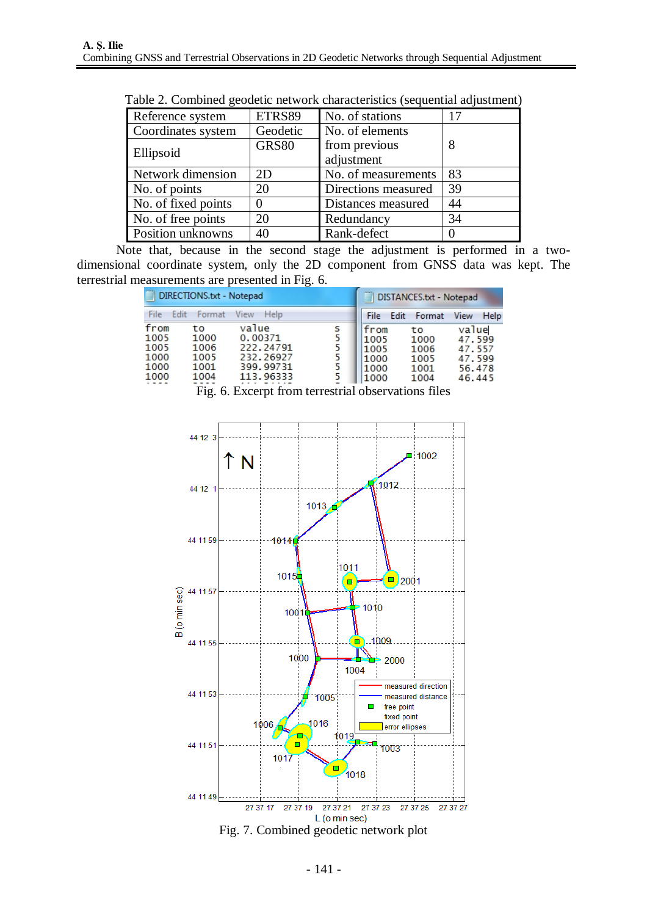| Reference system    | ETRS89       | No. of stations     | 17 |
|---------------------|--------------|---------------------|----|
| Coordinates system  | Geodetic     | No. of elements     |    |
|                     | <b>GRS80</b> | from previous       | 8  |
| Ellipsoid           |              | adjustment          |    |
| Network dimension   | 2D           | No. of measurements | 83 |
| No. of points       | 20           | Directions measured | 39 |
| No. of fixed points |              | Distances measured  | 44 |
| No. of free points  | 20           | Redundancy          | 34 |
| Position unknowns   | 40           | Rank-defect         |    |

Table 2. Combined geodetic network characteristics (sequential adjustment)

Note that, because in the second stage the adjustment is performed in a twodimensional coordinate system, only the 2D component from GNSS data was kept. The terrestrial measurements are presented in Fig. 6.

| DIRECTIONS.txt - Notepad                     |                                            |                                                                        |             | <b>Service</b><br>DISTANCES.txt - Notepad    |      |                                            |                                                         |      |
|----------------------------------------------|--------------------------------------------|------------------------------------------------------------------------|-------------|----------------------------------------------|------|--------------------------------------------|---------------------------------------------------------|------|
| File<br>Edit                                 | Format                                     | View<br>Help                                                           |             | <b>File</b>                                  | Edit | Format                                     | View                                                    | Help |
| from<br>1005<br>1005<br>1000<br>1000<br>1000 | tο<br>1000<br>1006<br>1005<br>1001<br>1004 | value<br>0.00371<br>222.24791<br>232, 26927<br>399.99731<br>113, 96333 | s<br>5<br>5 | from<br>1005<br>1005<br>1000<br>1000<br>1000 |      | to<br>1000<br>1006<br>1005<br>1001<br>1004 | value<br>47.599<br>47.557<br>47.599<br>56.478<br>46.445 |      |

Fig. 6. Excerpt from terrestrial observations files